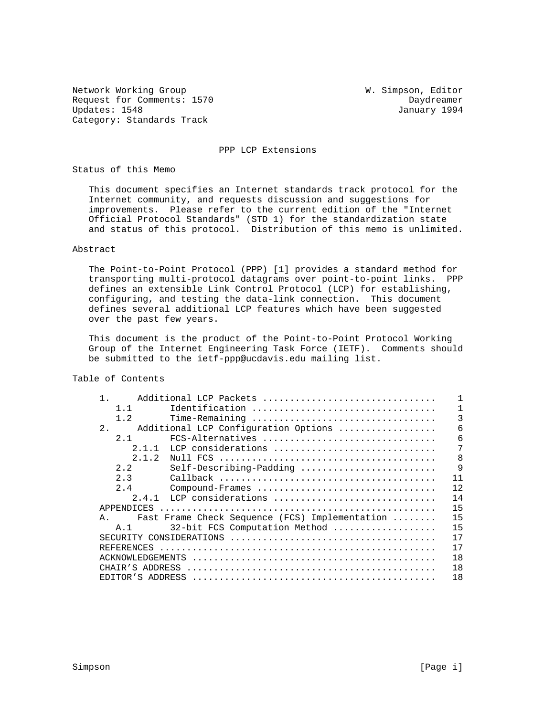Network Working Group W. Simpson, Editor Request for Comments: 1570 Daydreamer<br>
Updates: 1548 January 1994 Updates: 1548 Category: Standards Track

PPP LCP Extensions

Status of this Memo

 This document specifies an Internet standards track protocol for the Internet community, and requests discussion and suggestions for improvements. Please refer to the current edition of the "Internet Official Protocol Standards" (STD 1) for the standardization state and status of this protocol. Distribution of this memo is unlimited.

# Abstract

 The Point-to-Point Protocol (PPP) [1] provides a standard method for transporting multi-protocol datagrams over point-to-point links. PPP defines an extensible Link Control Protocol (LCP) for establishing, configuring, and testing the data-link connection. This document defines several additional LCP features which have been suggested over the past few years.

 This document is the product of the Point-to-Point Protocol Working Group of the Internet Engineering Task Force (IETF). Comments should be submitted to the ietf-ppp@ucdavis.edu mailing list.

Table of Contents

| $\mathbf{1}$ .<br>Additional LCP Packets             |    |
|------------------------------------------------------|----|
| Identification<br>1.1                                |    |
| 1.2                                                  | 3  |
| $2$ .<br>Additional LCP Configuration Options        | 6  |
| FCS-Alternatives<br>2.1                              | 6  |
| LCP considerations<br>2.1.1                          | 7  |
| 2.1.2                                                | 8  |
| 2.2<br>Self-Describing-Padding                       | 9  |
| 2.3                                                  | 11 |
| 2.4<br>Compound-Frames                               | 12 |
| LCP considerations<br>2.4.1                          | 14 |
| APPENDICES                                           | 15 |
| Fast Frame Check Sequence (FCS) Implementation<br>A. | 15 |
| 32-bit FCS Computation Method<br>A. 1                | 15 |
| SECURITY CONSIDERATIONS                              | 17 |
| REFERENCES                                           | 17 |
| ACKNOWLEDGEMENTS                                     | 18 |
| CHAIR'S ADDRESS                                      | 18 |
| EDITOR'S ADDRESS                                     | 18 |
|                                                      |    |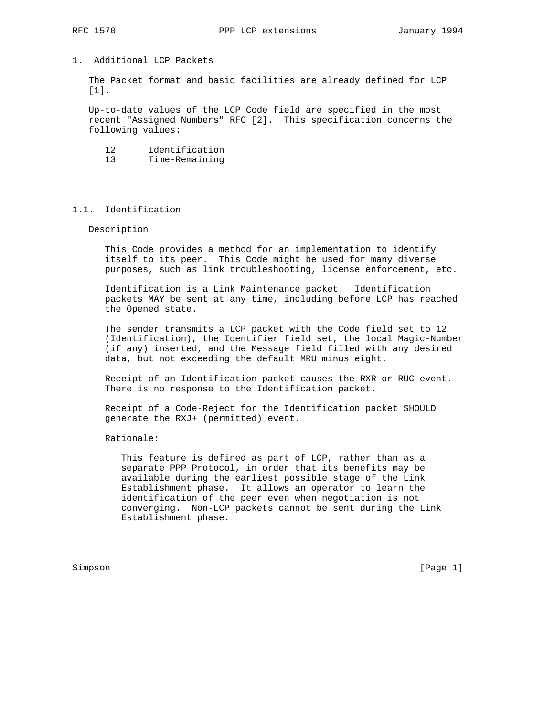## 1. Additional LCP Packets

 The Packet format and basic facilities are already defined for LCP [1].

 Up-to-date values of the LCP Code field are specified in the most recent "Assigned Numbers" RFC [2]. This specification concerns the following values:

| Identification<br>12 |
|----------------------|
|----------------------|

13 Time-Remaining

## 1.1. Identification

Description

 This Code provides a method for an implementation to identify itself to its peer. This Code might be used for many diverse purposes, such as link troubleshooting, license enforcement, etc.

 Identification is a Link Maintenance packet. Identification packets MAY be sent at any time, including before LCP has reached the Opened state.

 The sender transmits a LCP packet with the Code field set to 12 (Identification), the Identifier field set, the local Magic-Number (if any) inserted, and the Message field filled with any desired data, but not exceeding the default MRU minus eight.

 Receipt of an Identification packet causes the RXR or RUC event. There is no response to the Identification packet.

 Receipt of a Code-Reject for the Identification packet SHOULD generate the RXJ+ (permitted) event.

Rationale:

 This feature is defined as part of LCP, rather than as a separate PPP Protocol, in order that its benefits may be available during the earliest possible stage of the Link Establishment phase. It allows an operator to learn the identification of the peer even when negotiation is not converging. Non-LCP packets cannot be sent during the Link Establishment phase.

Simpson [Page 1] [Page 1] [Page 1] [Page 1] [Page 1] [Page 1] [Page 1] [Page 1] [Page 1] [Page 1] [Page 1] [Page 1] [Page 1] [Page 1] [Page 1] [Page 1] [Page 1] [Page 1] [Page 1] [Page 1] [Page 1] [Page 1] [Page 1] [Page 1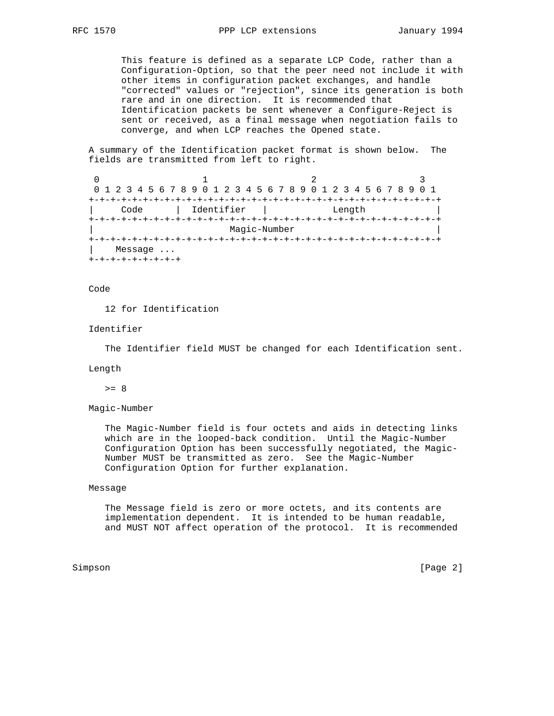This feature is defined as a separate LCP Code, rather than a Configuration-Option, so that the peer need not include it with other items in configuration packet exchanges, and handle "corrected" values or "rejection", since its generation is both rare and in one direction. It is recommended that Identification packets be sent whenever a Configure-Reject is sent or received, as a final message when negotiation fails to converge, and when LCP reaches the Opened state.

 A summary of the Identification packet format is shown below. The fields are transmitted from left to right.

0  $1$  2 3 0 1 2 3 4 5 6 7 8 9 0 1 2 3 4 5 6 7 8 9 0 1 2 3 4 5 6 7 8 9 0 1 +-+-+-+-+-+-+-+-+-+-+-+-+-+-+-+-+-+-+-+-+-+-+-+-+-+-+-+-+-+-+-+-+ | Code | Identifier | Length | +-+-+-+-+-+-+-+-+-+-+-+-+-+-+-+-+-+-+-+-+-+-+-+-+-+-+-+-+-+-+-+-+ Magic-Number +-+-+-+-+-+-+-+-+-+-+-+-+-+-+-+-+-+-+-+-+-+-+-+-+-+-+-+-+-+-+-+-+ | Message ... +-+-+-+-+-+-+-+-+

Code

12 for Identification

### Identifier

The Identifier field MUST be changed for each Identification sent.

#### Length

 $>= 8$ 

Magic-Number

 The Magic-Number field is four octets and aids in detecting links which are in the looped-back condition. Until the Magic-Number Configuration Option has been successfully negotiated, the Magic- Number MUST be transmitted as zero. See the Magic-Number Configuration Option for further explanation.

### Message

 The Message field is zero or more octets, and its contents are implementation dependent. It is intended to be human readable, and MUST NOT affect operation of the protocol. It is recommended

Simpson [Page 2]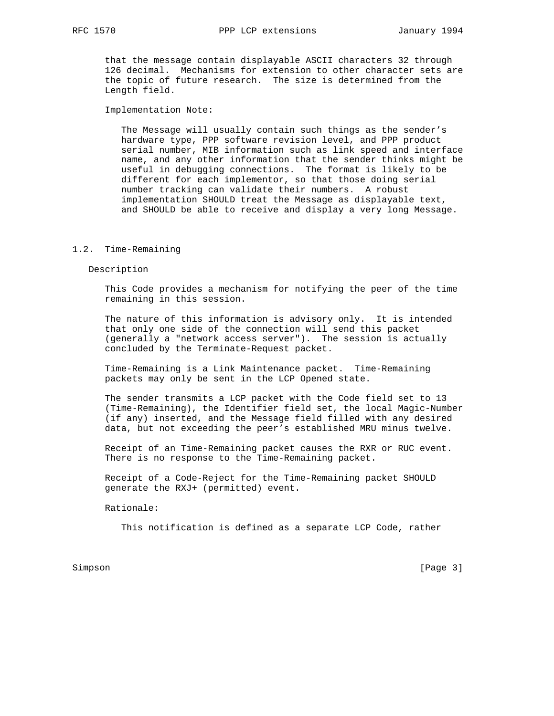that the message contain displayable ASCII characters 32 through 126 decimal. Mechanisms for extension to other character sets are the topic of future research. The size is determined from the Length field.

Implementation Note:

 The Message will usually contain such things as the sender's hardware type, PPP software revision level, and PPP product serial number, MIB information such as link speed and interface name, and any other information that the sender thinks might be useful in debugging connections. The format is likely to be different for each implementor, so that those doing serial number tracking can validate their numbers. A robust implementation SHOULD treat the Message as displayable text, and SHOULD be able to receive and display a very long Message.

#### 1.2. Time-Remaining

#### Description

 This Code provides a mechanism for notifying the peer of the time remaining in this session.

 The nature of this information is advisory only. It is intended that only one side of the connection will send this packet (generally a "network access server"). The session is actually concluded by the Terminate-Request packet.

 Time-Remaining is a Link Maintenance packet. Time-Remaining packets may only be sent in the LCP Opened state.

 The sender transmits a LCP packet with the Code field set to 13 (Time-Remaining), the Identifier field set, the local Magic-Number (if any) inserted, and the Message field filled with any desired data, but not exceeding the peer's established MRU minus twelve.

 Receipt of an Time-Remaining packet causes the RXR or RUC event. There is no response to the Time-Remaining packet.

 Receipt of a Code-Reject for the Time-Remaining packet SHOULD generate the RXJ+ (permitted) event.

Rationale:

This notification is defined as a separate LCP Code, rather

Simpson [Page 3]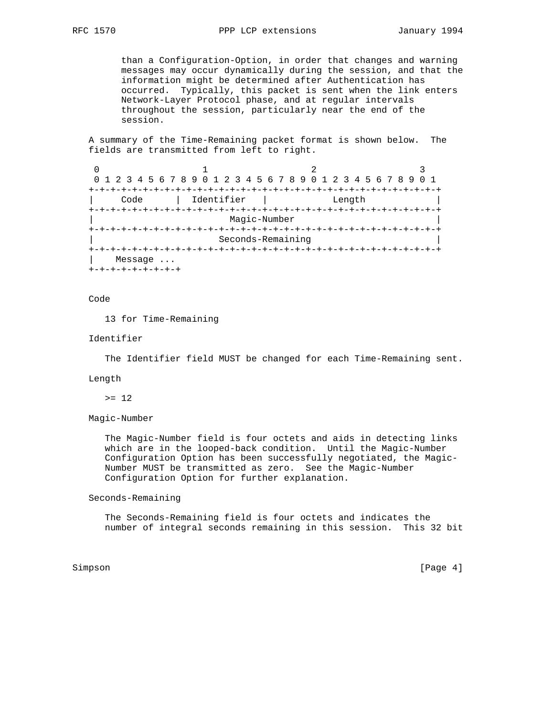than a Configuration-Option, in order that changes and warning messages may occur dynamically during the session, and that the information might be determined after Authentication has occurred. Typically, this packet is sent when the link enters Network-Layer Protocol phase, and at regular intervals throughout the session, particularly near the end of the session.

 A summary of the Time-Remaining packet format is shown below. The fields are transmitted from left to right.

0  $1$  2 3 0 1 2 3 4 5 6 7 8 9 0 1 2 3 4 5 6 7 8 9 0 1 2 3 4 5 6 7 8 9 0 1 +-+-+-+-+-+-+-+-+-+-+-+-+-+-+-+-+-+-+-+-+-+-+-+-+-+-+-+-+-+-+-+-+ | Code | Identifier | Length | +-+-+-+-+-+-+-+-+-+-+-+-+-+-+-+-+-+-+-+-+-+-+-+-+-+-+-+-+-+-+-+-+ | Magic-Number | +-+-+-+-+-+-+-+-+-+-+-+-+-+-+-+-+-+-+-+-+-+-+-+-+-+-+-+-+-+-+-+-+ | Seconds-Remaining | +-+-+-+-+-+-+-+-+-+-+-+-+-+-+-+-+-+-+-+-+-+-+-+-+-+-+-+-+-+-+-+-+ | Message ... +-+-+-+-+-+-+-+-+

## Code

13 for Time-Remaining

### Identifier

The Identifier field MUST be changed for each Time-Remaining sent.

### Length

 $>= 12$ 

# Magic-Number

 The Magic-Number field is four octets and aids in detecting links which are in the looped-back condition. Until the Magic-Number Configuration Option has been successfully negotiated, the Magic- Number MUST be transmitted as zero. See the Magic-Number Configuration Option for further explanation.

Seconds-Remaining

 The Seconds-Remaining field is four octets and indicates the number of integral seconds remaining in this session. This 32 bit

Simpson [Page 4] [Page 4] [Page 4] [Page 4] [Page 4] [Page 4] [Page 4] [Page 4] [Page 4] [Page 4] [Page 4] [Page 4] [Page 4] [Page 4] [Page 4] [Page 4] [Page 4] [Page 4] [Page 4] [Page 4] [Page 4] [Page 4] [Page 4] [Page 4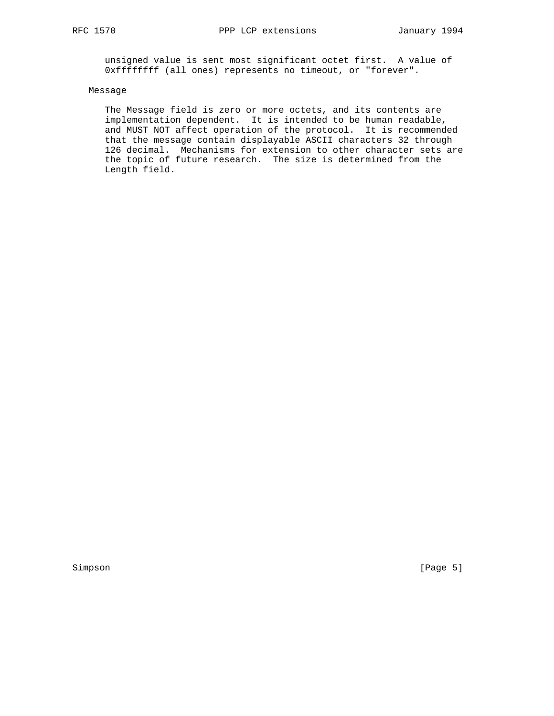unsigned value is sent most significant octet first. A value of 0xffffffff (all ones) represents no timeout, or "forever".

# Message

 The Message field is zero or more octets, and its contents are implementation dependent. It is intended to be human readable, and MUST NOT affect operation of the protocol. It is recommended that the message contain displayable ASCII characters 32 through 126 decimal. Mechanisms for extension to other character sets are the topic of future research. The size is determined from the Length field.

Simpson [Page 5]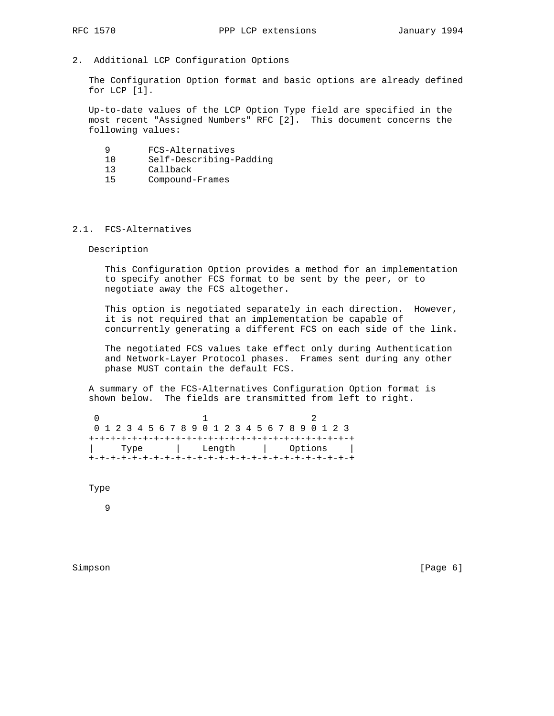- 
- 2. Additional LCP Configuration Options

 The Configuration Option format and basic options are already defined for LCP [1].

 Up-to-date values of the LCP Option Type field are specified in the most recent "Assigned Numbers" RFC [2]. This document concerns the following values:

- 9 FCS-Alternatives
- 10 Self-Describing-Padding
- 13 Callback
- 15 Compound-Frames

## 2.1. FCS-Alternatives

Description

 This Configuration Option provides a method for an implementation to specify another FCS format to be sent by the peer, or to negotiate away the FCS altogether.

 This option is negotiated separately in each direction. However, it is not required that an implementation be capable of concurrently generating a different FCS on each side of the link.

 The negotiated FCS values take effect only during Authentication and Network-Layer Protocol phases. Frames sent during any other phase MUST contain the default FCS.

 A summary of the FCS-Alternatives Configuration Option format is shown below. The fields are transmitted from left to right.

|  |  | 0 1 2 3 4 5 6 7 8 9 0 1 2 3 4 5 6 7 8 9 0 1 2 3 |      |  |  |  |  |  |  |  |  |  |  |  |                  |  |  |  |  |  |  |  |  |  |  |
|--|--|-------------------------------------------------|------|--|--|--|--|--|--|--|--|--|--|--|------------------|--|--|--|--|--|--|--|--|--|--|
|  |  |                                                 |      |  |  |  |  |  |  |  |  |  |  |  |                  |  |  |  |  |  |  |  |  |  |  |
|  |  |                                                 | Type |  |  |  |  |  |  |  |  |  |  |  | Length   Options |  |  |  |  |  |  |  |  |  |  |
|  |  |                                                 |      |  |  |  |  |  |  |  |  |  |  |  |                  |  |  |  |  |  |  |  |  |  |  |

Type

9

Simpson [Page 6] [Page 6] [Page 6] [Page 6] [Page 6] [Page 6] [Page 6] [Page 6] [Page 6] [Page 6] [Page 6] [Page 6] [Page 6] [Page 6] [Page 6] [Page 6] [Page 6] [Page 6] [Page 6] [Page 6] [Page 6] [Page 6] [Page 6] [Page 6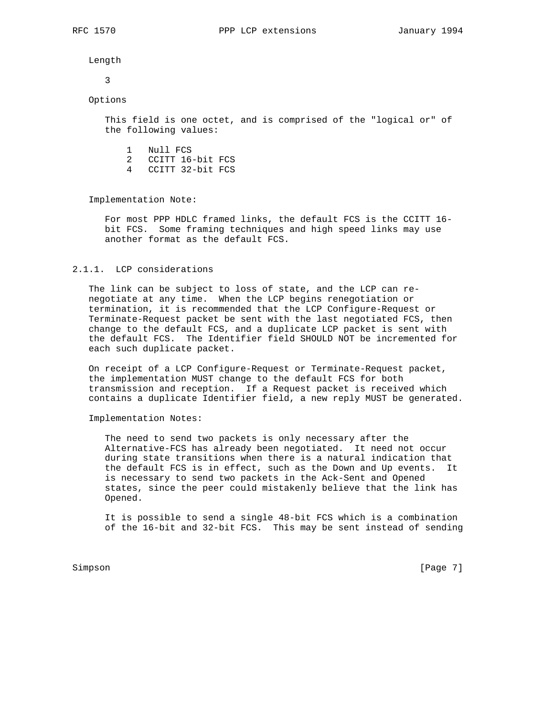Length

3

# Options

 This field is one octet, and is comprised of the "logical or" of the following values:

- 1 Null FCS
- 2 CCITT 16-bit FCS
- 4 CCITT 32-bit FCS

Implementation Note:

 For most PPP HDLC framed links, the default FCS is the CCITT 16 bit FCS. Some framing techniques and high speed links may use another format as the default FCS.

## 2.1.1. LCP considerations

 The link can be subject to loss of state, and the LCP can re negotiate at any time. When the LCP begins renegotiation or termination, it is recommended that the LCP Configure-Request or Terminate-Request packet be sent with the last negotiated FCS, then change to the default FCS, and a duplicate LCP packet is sent with the default FCS. The Identifier field SHOULD NOT be incremented for each such duplicate packet.

 On receipt of a LCP Configure-Request or Terminate-Request packet, the implementation MUST change to the default FCS for both transmission and reception. If a Request packet is received which contains a duplicate Identifier field, a new reply MUST be generated.

Implementation Notes:

 The need to send two packets is only necessary after the Alternative-FCS has already been negotiated. It need not occur during state transitions when there is a natural indication that the default FCS is in effect, such as the Down and Up events. It is necessary to send two packets in the Ack-Sent and Opened states, since the peer could mistakenly believe that the link has Opened.

 It is possible to send a single 48-bit FCS which is a combination of the 16-bit and 32-bit FCS. This may be sent instead of sending

Simpson [Page 7]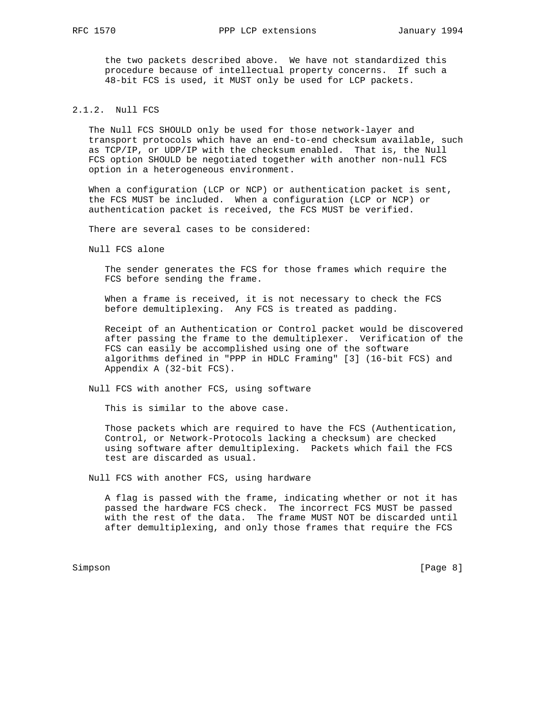the two packets described above. We have not standardized this procedure because of intellectual property concerns. If such a 48-bit FCS is used, it MUST only be used for LCP packets.

# 2.1.2. Null FCS

 The Null FCS SHOULD only be used for those network-layer and transport protocols which have an end-to-end checksum available, such as TCP/IP, or UDP/IP with the checksum enabled. That is, the Null FCS option SHOULD be negotiated together with another non-null FCS option in a heterogeneous environment.

 When a configuration (LCP or NCP) or authentication packet is sent, the FCS MUST be included. When a configuration (LCP or NCP) or authentication packet is received, the FCS MUST be verified.

There are several cases to be considered:

Null FCS alone

 The sender generates the FCS for those frames which require the FCS before sending the frame.

 When a frame is received, it is not necessary to check the FCS before demultiplexing. Any FCS is treated as padding.

 Receipt of an Authentication or Control packet would be discovered after passing the frame to the demultiplexer. Verification of the FCS can easily be accomplished using one of the software algorithms defined in "PPP in HDLC Framing" [3] (16-bit FCS) and Appendix A (32-bit FCS).

Null FCS with another FCS, using software

This is similar to the above case.

 Those packets which are required to have the FCS (Authentication, Control, or Network-Protocols lacking a checksum) are checked using software after demultiplexing. Packets which fail the FCS test are discarded as usual.

Null FCS with another FCS, using hardware

 A flag is passed with the frame, indicating whether or not it has passed the hardware FCS check. The incorrect FCS MUST be passed with the rest of the data. The frame MUST NOT be discarded until after demultiplexing, and only those frames that require the FCS

Simpson [Page 8]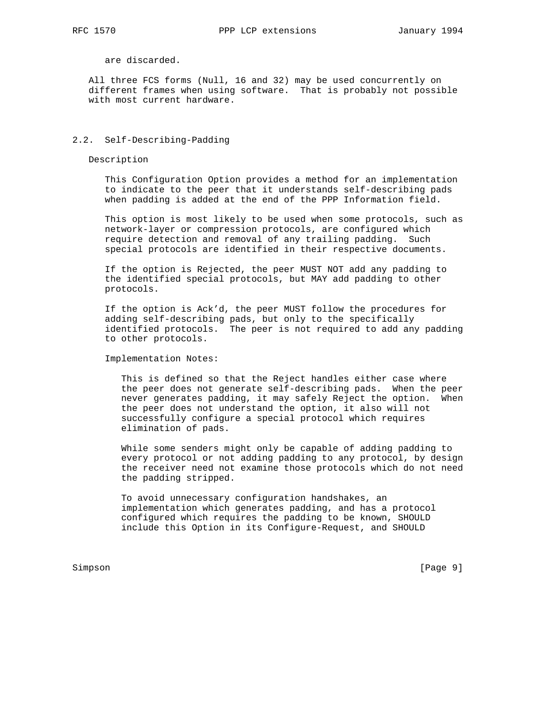are discarded.

 All three FCS forms (Null, 16 and 32) may be used concurrently on different frames when using software. That is probably not possible with most current hardware.

### 2.2. Self-Describing-Padding

Description

 This Configuration Option provides a method for an implementation to indicate to the peer that it understands self-describing pads when padding is added at the end of the PPP Information field.

 This option is most likely to be used when some protocols, such as network-layer or compression protocols, are configured which require detection and removal of any trailing padding. Such special protocols are identified in their respective documents.

 If the option is Rejected, the peer MUST NOT add any padding to the identified special protocols, but MAY add padding to other protocols.

 If the option is Ack'd, the peer MUST follow the procedures for adding self-describing pads, but only to the specifically identified protocols. The peer is not required to add any padding to other protocols.

Implementation Notes:

 This is defined so that the Reject handles either case where the peer does not generate self-describing pads. When the peer never generates padding, it may safely Reject the option. When the peer does not understand the option, it also will not successfully configure a special protocol which requires elimination of pads.

 While some senders might only be capable of adding padding to every protocol or not adding padding to any protocol, by design the receiver need not examine those protocols which do not need the padding stripped.

 To avoid unnecessary configuration handshakes, an implementation which generates padding, and has a protocol configured which requires the padding to be known, SHOULD include this Option in its Configure-Request, and SHOULD

Simpson [Page 9]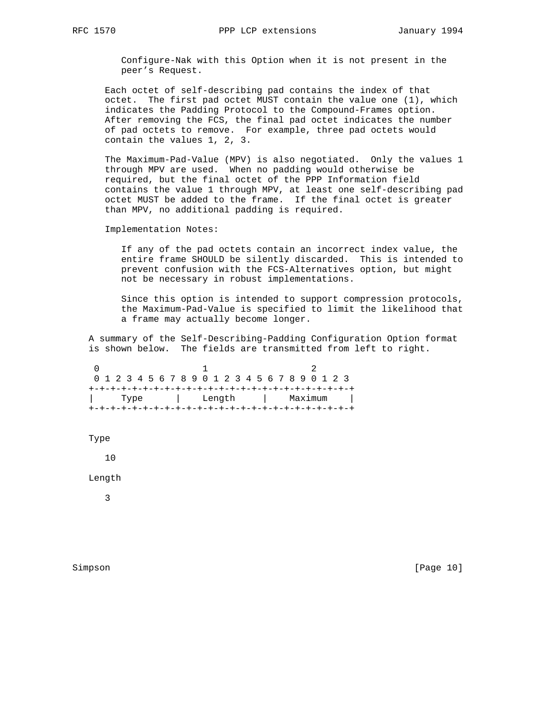Configure-Nak with this Option when it is not present in the peer's Request.

 Each octet of self-describing pad contains the index of that octet. The first pad octet MUST contain the value one (1), which indicates the Padding Protocol to the Compound-Frames option. After removing the FCS, the final pad octet indicates the number of pad octets to remove. For example, three pad octets would contain the values 1, 2, 3.

 The Maximum-Pad-Value (MPV) is also negotiated. Only the values 1 through MPV are used. When no padding would otherwise be required, but the final octet of the PPP Information field contains the value 1 through MPV, at least one self-describing pad octet MUST be added to the frame. If the final octet is greater than MPV, no additional padding is required.

Implementation Notes:

 If any of the pad octets contain an incorrect index value, the entire frame SHOULD be silently discarded. This is intended to prevent confusion with the FCS-Alternatives option, but might not be necessary in robust implementations.

 Since this option is intended to support compression protocols, the Maximum-Pad-Value is specified to limit the likelihood that a frame may actually become longer.

 A summary of the Self-Describing-Padding Configuration Option format is shown below. The fields are transmitted from left to right.

 $0$  1 2 0 1 2 3 4 5 6 7 8 9 0 1 2 3 4 5 6 7 8 9 0 1 2 3 +-+-+-+-+-+-+-+-+-+-+-+-+-+-+-+-+-+-+-+-+-+-+-+-+ | Type | Length | Maximum | +-+-+-+-+-+-+-+-+-+-+-+-+-+-+-+-+-+-+-+-+-+-+-+-+

Type

10

Length

3

Simpson [Page 10]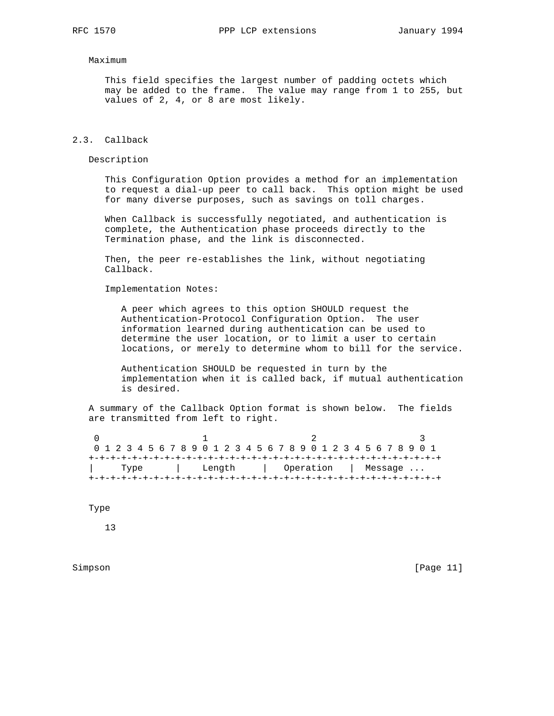#### Maximum

 This field specifies the largest number of padding octets which may be added to the frame. The value may range from 1 to 255, but values of 2, 4, or 8 are most likely.

### 2.3. Callback

Description

 This Configuration Option provides a method for an implementation to request a dial-up peer to call back. This option might be used for many diverse purposes, such as savings on toll charges.

 When Callback is successfully negotiated, and authentication is complete, the Authentication phase proceeds directly to the Termination phase, and the link is disconnected.

 Then, the peer re-establishes the link, without negotiating Callback.

Implementation Notes:

 A peer which agrees to this option SHOULD request the Authentication-Protocol Configuration Option. The user information learned during authentication can be used to determine the user location, or to limit a user to certain locations, or merely to determine whom to bill for the service.

 Authentication SHOULD be requested in turn by the implementation when it is called back, if mutual authentication is desired.

 A summary of the Callback Option format is shown below. The fields are transmitted from left to right.

| 0 1 2 3 4 5 6 7 8 9 0 1 2 3 4 5 6 7 8 9 0 1 2 3 4 5 6 7 8 9 0 1 |  |  |  |  |  |  |  |        |  |  |  |  |  |  |  |                     |  |  |  |  |  |  |  |  |  |  |  |  |  |  |  |
|-----------------------------------------------------------------|--|--|--|--|--|--|--|--------|--|--|--|--|--|--|--|---------------------|--|--|--|--|--|--|--|--|--|--|--|--|--|--|--|
|                                                                 |  |  |  |  |  |  |  |        |  |  |  |  |  |  |  |                     |  |  |  |  |  |  |  |  |  |  |  |  |  |  |  |
| Type                                                            |  |  |  |  |  |  |  | Length |  |  |  |  |  |  |  | Operation   Message |  |  |  |  |  |  |  |  |  |  |  |  |  |  |  |
|                                                                 |  |  |  |  |  |  |  |        |  |  |  |  |  |  |  |                     |  |  |  |  |  |  |  |  |  |  |  |  |  |  |  |

Type

13

Simpson [Page 11]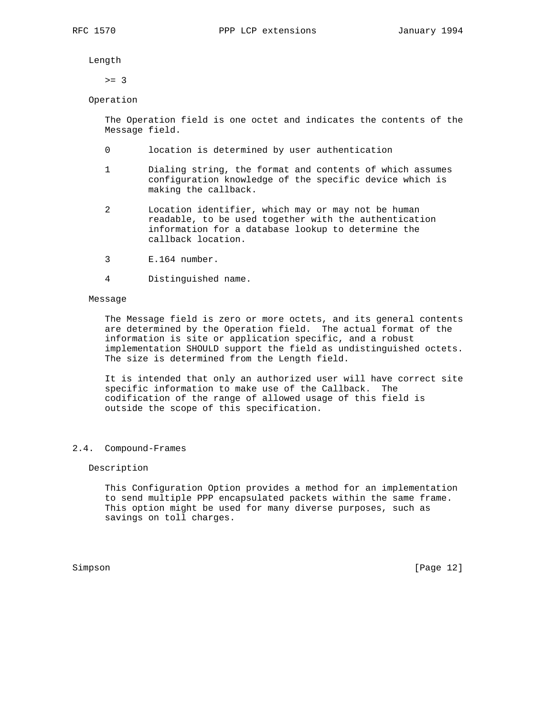Length

 $>= 3$ 

# Operation

 The Operation field is one octet and indicates the contents of the Message field.

- 0 location is determined by user authentication
- 1 Dialing string, the format and contents of which assumes configuration knowledge of the specific device which is making the callback.
- 2 Location identifier, which may or may not be human readable, to be used together with the authentication information for a database lookup to determine the callback location.
- 3 E.164 number.
- 4 Distinguished name.

### Message

 The Message field is zero or more octets, and its general contents are determined by the Operation field. The actual format of the information is site or application specific, and a robust implementation SHOULD support the field as undistinguished octets. The size is determined from the Length field.

 It is intended that only an authorized user will have correct site specific information to make use of the Callback. The codification of the range of allowed usage of this field is outside the scope of this specification.

### 2.4. Compound-Frames

## Description

 This Configuration Option provides a method for an implementation to send multiple PPP encapsulated packets within the same frame. This option might be used for many diverse purposes, such as savings on toll charges.

Simpson [Page 12]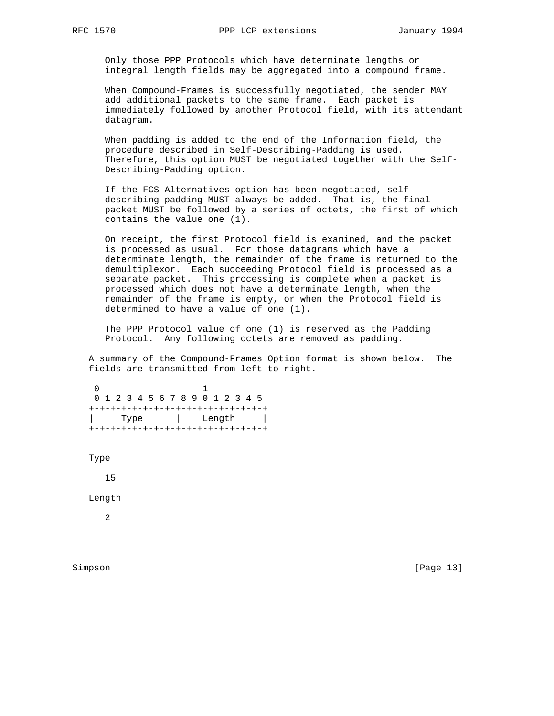Only those PPP Protocols which have determinate lengths or integral length fields may be aggregated into a compound frame.

 When Compound-Frames is successfully negotiated, the sender MAY add additional packets to the same frame. Each packet is immediately followed by another Protocol field, with its attendant datagram.

 When padding is added to the end of the Information field, the procedure described in Self-Describing-Padding is used. Therefore, this option MUST be negotiated together with the Self- Describing-Padding option.

 If the FCS-Alternatives option has been negotiated, self describing padding MUST always be added. That is, the final packet MUST be followed by a series of octets, the first of which contains the value one (1).

 On receipt, the first Protocol field is examined, and the packet is processed as usual. For those datagrams which have a determinate length, the remainder of the frame is returned to the demultiplexor. Each succeeding Protocol field is processed as a separate packet. This processing is complete when a packet is processed which does not have a determinate length, when the remainder of the frame is empty, or when the Protocol field is determined to have a value of one (1).

 The PPP Protocol value of one (1) is reserved as the Padding Protocol. Any following octets are removed as padding.

 A summary of the Compound-Frames Option format is shown below. The fields are transmitted from left to right.

 0 1 0 1 2 3 4 5 6 7 8 9 0 1 2 3 4 5 +-+-+-+-+-+-+-+-+-+-+-+-+-+-+-+-+ | Type | Length | +-+-+-+-+-+-+-+-+-+-+-+-+-+-+-+-+

Type

15

Length

2

Simpson [Page 13]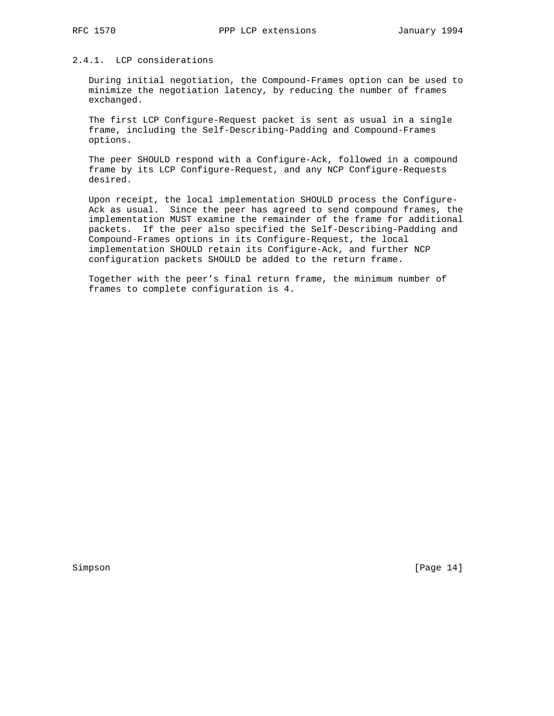# 2.4.1. LCP considerations

 During initial negotiation, the Compound-Frames option can be used to minimize the negotiation latency, by reducing the number of frames exchanged.

 The first LCP Configure-Request packet is sent as usual in a single frame, including the Self-Describing-Padding and Compound-Frames options.

 The peer SHOULD respond with a Configure-Ack, followed in a compound frame by its LCP Configure-Request, and any NCP Configure-Requests desired.

 Upon receipt, the local implementation SHOULD process the Configure- Ack as usual. Since the peer has agreed to send compound frames, the implementation MUST examine the remainder of the frame for additional packets. If the peer also specified the Self-Describing-Padding and Compound-Frames options in its Configure-Request, the local implementation SHOULD retain its Configure-Ack, and further NCP configuration packets SHOULD be added to the return frame.

 Together with the peer's final return frame, the minimum number of frames to complete configuration is 4.

Simpson [Page 14]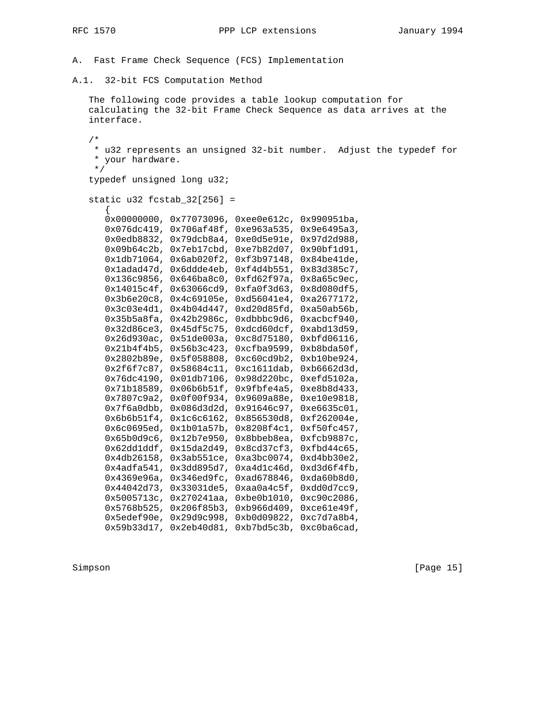- A. Fast Frame Check Sequence (FCS) Implementation
- A.1. 32-bit FCS Computation Method

 The following code provides a table lookup computation for calculating the 32-bit Frame Check Sequence as data arrives at the interface.

 /\* \* u32 represents an unsigned 32-bit number. Adjust the typedef for \* your hardware. \*/ typedef unsigned long u32; static u32 fcstab\_32[256] =  $\{$  0x00000000, 0x77073096, 0xee0e612c, 0x990951ba, 0x076dc419, 0x706af48f, 0xe963a535, 0x9e6495a3, 0x0edb8832, 0x79dcb8a4, 0xe0d5e91e, 0x97d2d988, 0x09b64c2b, 0x7eb17cbd, 0xe7b82d07, 0x90bf1d91, 0x1db71064, 0x6ab020f2, 0xf3b97148, 0x84be41de, 0x1adad47d, 0x6ddde4eb, 0xf4d4b551, 0x83d385c7, 0x136c9856, 0x646ba8c0, 0xfd62f97a, 0x8a65c9ec, 0x14015c4f, 0x63066cd9, 0xfa0f3d63, 0x8d080df5, 0x3b6e20c8, 0x4c69105e, 0xd56041e4, 0xa2677172, 0x3c03e4d1, 0x4b04d447, 0xd20d85fd, 0xa50ab56b, 0x35b5a8fa, 0x42b2986c, 0xdbbbc9d6, 0xacbcf940, 0x32d86ce3, 0x45df5c75, 0xdcd60dcf, 0xabd13d59, 0x26d930ac, 0x51de003a, 0xc8d75180, 0xbfd06116, 0x21b4f4b5, 0x56b3c423, 0xcfba9599, 0xb8bda50f, 0x2802b89e, 0x5f058808, 0xc60cd9b2, 0xb10be924, 0x2f6f7c87, 0x58684c11, 0xc1611dab, 0xb6662d3d, 0x76dc4190, 0x01db7106, 0x98d220bc, 0xefd5102a, 0x71b18589, 0x06b6b51f, 0x9fbfe4a5, 0xe8b8d433, 0x7807c9a2, 0x0f00f934, 0x9609a88e, 0xe10e9818, 0x7f6a0dbb, 0x086d3d2d, 0x91646c97, 0xe6635c01, 0x6b6b51f4, 0x1c6c6162, 0x856530d8, 0xf262004e, 0x6c0695ed, 0x1b01a57b, 0x8208f4c1, 0xf50fc457, 0x65b0d9c6, 0x12b7e950, 0x8bbeb8ea, 0xfcb9887c, 0x62dd1ddf, 0x15da2d49, 0x8cd37cf3, 0xfbd44c65, 0x4db26158, 0x3ab551ce, 0xa3bc0074, 0xd4bb30e2, 0x4adfa541, 0x3dd895d7, 0xa4d1c46d, 0xd3d6f4fb, 0x4369e96a, 0x346ed9fc, 0xad678846, 0xda60b8d0, 0x44042d73, 0x33031de5, 0xaa0a4c5f, 0xdd0d7cc9, 0x5005713c, 0x270241aa, 0xbe0b1010, 0xc90c2086, 0x5768b525, 0x206f85b3, 0xb966d409, 0xce61e49f, 0x5edef90e, 0x29d9c998, 0xb0d09822, 0xc7d7a8b4, 0x59b33d17, 0x2eb40d81, 0xb7bd5c3b, 0xc0ba6cad,

Simpson [Page 15]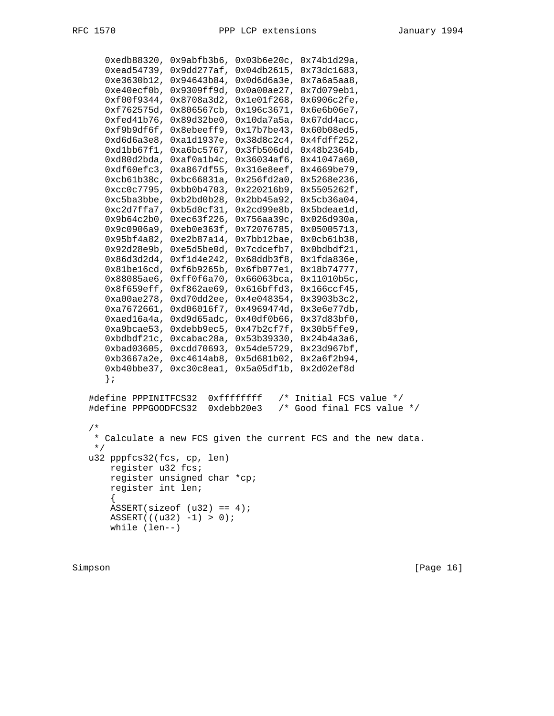```
 0xedb88320, 0x9abfb3b6, 0x03b6e20c, 0x74b1d29a,
       0xead54739, 0x9dd277af, 0x04db2615, 0x73dc1683,
       0xe3630b12, 0x94643b84, 0x0d6d6a3e, 0x7a6a5aa8,
       0xe40ecf0b, 0x9309ff9d, 0x0a00ae27, 0x7d079eb1,
       0xf00f9344, 0x8708a3d2, 0x1e01f268, 0x6906c2fe,
       0xf762575d, 0x806567cb, 0x196c3671, 0x6e6b06e7,
       0xfed41b76, 0x89d32be0, 0x10da7a5a, 0x67dd4acc,
      0xf9b9df6f, 0x8ebeeff9, 0x17b7be43, 0x60b08ed5,
      0xd6d6a3e8, 0xa1d1937e, 0x38d8c2c4, 0x4fdff252,
       0xd1bb67f1, 0xa6bc5767, 0x3fb506dd, 0x48b2364b,
       0xd80d2bda, 0xaf0a1b4c, 0x36034af6, 0x41047a60,
       0xdf60efc3, 0xa867df55, 0x316e8eef, 0x4669be79,
      0xcb61b38c, 0xbc66831a, 0x256fd2a0, 0x5268e236,
      0xcc0c7795, 0xbb0b4703, 0x220216b9, 0x5505262f,
       0xc5ba3bbe, 0xb2bd0b28, 0x2bb45a92, 0x5cb36a04,
       0xc2d7ffa7, 0xb5d0cf31, 0x2cd99e8b, 0x5bdeae1d,
      0x9b64c2b0, 0xec63f226, 0x756aa39c, 0x026d930a,
       0x9c0906a9, 0xeb0e363f, 0x72076785, 0x05005713,
      0x95bf4a82, 0xe2b87a14, 0x7bb12bae, 0x0cb61b38,
      0x92d28e9b, 0xe5d5be0d, 0x7cdcefb7, 0x0bdbdf21,
      0x86d3d2d4, 0xf1d4e242, 0x68ddb3f8, 0x1fda836e,
      0x81be16cd, 0xf6b9265b, 0x6fb077e1, 0x18b74777,
       0x88085ae6, 0xff0f6a70, 0x66063bca, 0x11010b5c,
       0x8f659eff, 0xf862ae69, 0x616bffd3, 0x166ccf45,
      0xa00ae278, 0xd70dd2ee, 0x4e048354, 0x3903b3c2,
      0xa7672661, 0xd06016f7, 0x4969474d, 0x3e6e77db,
       0xaed16a4a, 0xd9d65adc, 0x40df0b66, 0x37d83bf0,
       0xa9bcae53, 0xdebb9ec5, 0x47b2cf7f, 0x30b5ffe9,
       0xbdbdf21c, 0xcabac28a, 0x53b39330, 0x24b4a3a6,
       0xbad03605, 0xcdd70693, 0x54de5729, 0x23d967bf,
       0xb3667a2e, 0xc4614ab8, 0x5d681b02, 0x2a6f2b94,
       0xb40bbe37, 0xc30c8ea1, 0x5a05df1b, 0x2d02ef8d
      };
   #define PPPINITFCS32 0xffffffff /* Initial FCS value */
   #define PPPGOODFCS32 0xdebb20e3 /* Good final FCS value */
   /*
    * Calculate a new FCS given the current FCS and the new data.
    */
   u32 pppfcs32(fcs, cp, len)
       register u32 fcs;
       register unsigned char *cp;
       register int len;
\{ASSERT(sizeof (u32) == 4);ASSERT((u32) -1) > 0); while (len--)
```
Simpson [Page 16]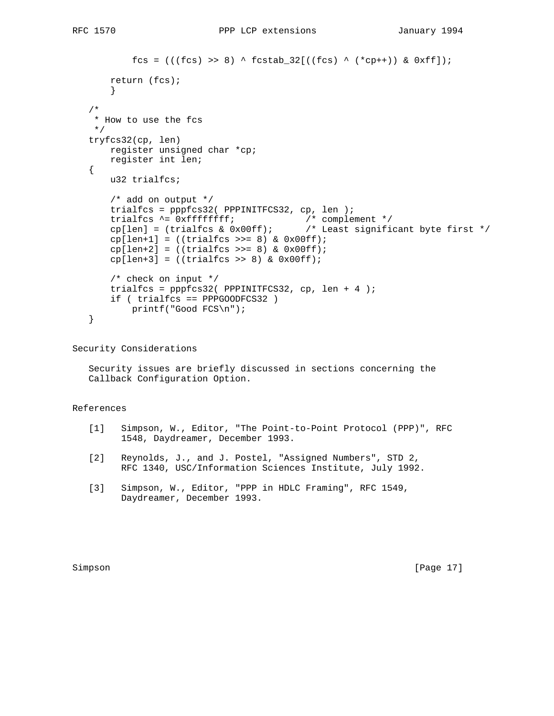```
fcs = (((fcs) >> 8) ^ fcstab_32[((fcs) ^ (*cp++)) & 0xff]);
        return (fcs);
 }
    /*
     * How to use the fcs
     */
    tryfcs32(cp, len)
        register unsigned char *cp;
        register int len;
    {
        u32 trialfcs;
        /* add on output */
        trialfcs = pppfcs32( PPPINITFCS32, cp, len );
       trialfcs ^= 0xffffffff;<br>
cp[len] = (trialfcs & 0x00ff);\bar{t}/t complement */<br>/* Least significant byte first */
       cp[len+1] = ((trialfcs \gg= 8) & Qx00ff);cp[len+2] = ((trialfcs \gg= 8) & 0x00ff);cp[len+3] = ((trialfcs \gg 8) & Qx00ff); /* check on input */
        trialfcs = pppfcs32( PPPINITFCS32, cp, len + 4 );
        if ( trialfcs == PPPGOODFCS32 )
            printf("Good FCS\n");
    }
```
Security Considerations

 Security issues are briefly discussed in sections concerning the Callback Configuration Option.

# References

- [1] Simpson, W., Editor, "The Point-to-Point Protocol (PPP)", RFC 1548, Daydreamer, December 1993.
- [2] Reynolds, J., and J. Postel, "Assigned Numbers", STD 2, RFC 1340, USC/Information Sciences Institute, July 1992.
- [3] Simpson, W., Editor, "PPP in HDLC Framing", RFC 1549, Daydreamer, December 1993.

Simpson [Page 17]